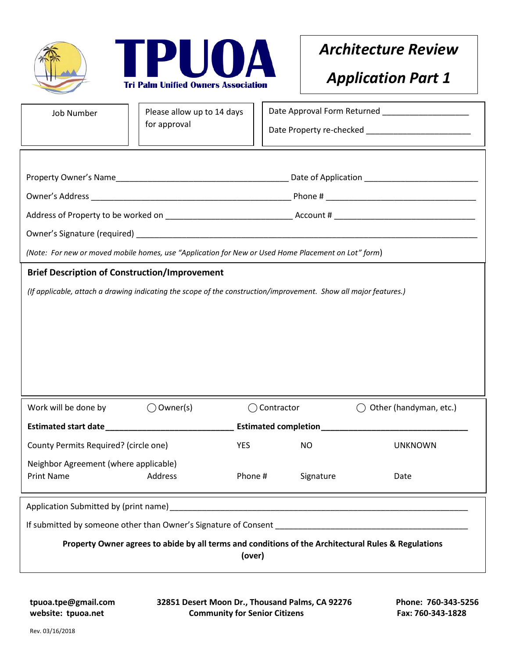



## *Architecture Review*

## *Application Part 1*

| <b>Job Number</b>                                                                                                | Please allow up to 14 days |                       | Date Approval Form Returned ____________________ |                               |  |  |
|------------------------------------------------------------------------------------------------------------------|----------------------------|-----------------------|--------------------------------------------------|-------------------------------|--|--|
|                                                                                                                  | for approval               |                       |                                                  |                               |  |  |
|                                                                                                                  |                            |                       |                                                  |                               |  |  |
|                                                                                                                  |                            |                       |                                                  |                               |  |  |
|                                                                                                                  |                            |                       |                                                  |                               |  |  |
|                                                                                                                  |                            |                       |                                                  |                               |  |  |
|                                                                                                                  |                            |                       |                                                  |                               |  |  |
|                                                                                                                  |                            |                       |                                                  |                               |  |  |
| (Note: For new or moved mobile homes, use "Application for New or Used Home Placement on Lot" form)              |                            |                       |                                                  |                               |  |  |
| <b>Brief Description of Construction/Improvement</b>                                                             |                            |                       |                                                  |                               |  |  |
| (If applicable, attach a drawing indicating the scope of the construction/improvement. Show all major features.) |                            |                       |                                                  |                               |  |  |
|                                                                                                                  |                            |                       |                                                  |                               |  |  |
|                                                                                                                  |                            |                       |                                                  |                               |  |  |
|                                                                                                                  |                            |                       |                                                  |                               |  |  |
|                                                                                                                  |                            |                       |                                                  |                               |  |  |
|                                                                                                                  |                            |                       |                                                  |                               |  |  |
|                                                                                                                  |                            |                       |                                                  |                               |  |  |
| Work will be done by                                                                                             | $\bigcirc$ Owner(s)        | $\bigcirc$ Contractor |                                                  | Other (handyman, etc.)<br>( ) |  |  |
| Estimated start date <b>Extending the Second Start date</b>                                                      |                            |                       | Estimated completion_______________              |                               |  |  |
| County Permits Required? (circle one)                                                                            |                            | <b>YES</b>            | <b>NO</b>                                        | <b>UNKNOWN</b>                |  |  |
| Neighbor Agreement (where applicable)                                                                            |                            |                       |                                                  |                               |  |  |
| Print Name Address                                                                                               |                            | Phone #               | Signature                                        | Date                          |  |  |
|                                                                                                                  |                            |                       |                                                  |                               |  |  |
| If submitted by someone other than Owner's Signature of Consent [198] [198] [198] [198] [198] [198] [198] [198   |                            |                       |                                                  |                               |  |  |
| Property Owner agrees to abide by all terms and conditions of the Architectural Rules & Regulations              |                            |                       |                                                  |                               |  |  |
| (over)                                                                                                           |                            |                       |                                                  |                               |  |  |
|                                                                                                                  |                            |                       |                                                  |                               |  |  |

**tpuoa.tpe@gmail.com 32851 Desert Moon Dr., Thousand Palms, CA 92276 Phone: 760-343-5256** website: tpuoa.net **Community for Senior Citizens** Fax: 760-343-1828